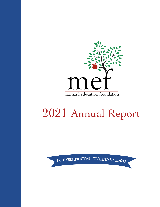

# 2021 Annual Report

ENHANCING EDUCATIONAL EXCELLENCE SINCE 2000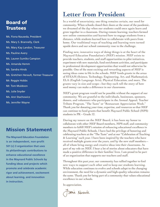## Board of **Trustees**

Ms. Fiona Nauseda, President Ms. Mary S. Brannelly, Clerk Ms. Mary Kay Landon, Treasurer Ms. Pauline Avery Ms. Lauren Sumiko Campion Ms. Amanda Hemm Ms. Sandra Hinds Ms. Gretchen Herault, former Treasurer Mr. Reggie Hobbs Mr. Tom Muldoon Ms. Julie Snyder Ms. Ann Stachowicz Ms. Jennifer Wayne

## Mission Statement

**The Maynard Education Foundation is an independent, non-profit 501 (c) 3 organization that uses its philanthropic contributions to enhance educational excellence in the Maynard Public Schools by funding ideas and projects which promote and celebrate academic rigor and achievement, excitement about learning, and innovation in instruction.**

## **Letter from President**

In a world of uncertainty, one thing remains certain, our need for community. When schools closed their doors at the onset of the pandemic, we dreamed of the day when our students could once again learn and grow together in a classroom. During remote learning, teachers formed new online communities and learned how to engage students from a distance, while students learned how to collaborate with peers from home. Our traditional ways of teaching and learning were turned upside down and our school community rose to the challenge.

Finding new, innovative ways of doing things is at the heart of the Maynard Education Foundation's (MEF) mission. MEF exists to provide teachers, students, and staff opportunities to pilot initiatives, experiment with new materials, fund enrichment activities, and participate in professional development opportunities that would not otherwise be possible. One of the most exciting and rewarding aspects of MEF is seeing ideas come to life in the schools. MEF funds grants in the areas of STEAM (Science, Technology, Engineering, Art, and Mathematics), ELA (English Language Arts), Physical Education, and more. The grants vary in size and scope—but they each tell the story of how seed money can make a difference in our classrooms.

MEF's grant program would not be possible without the support of our community. We are grateful to the individuals, businesses, sponsors, donors, and volunteers who participate in the Annual Appeal, Teacher Tribute Program, "The Taste" or "Restaurant Appreciation Week." Thank you for donating your time, expertise, and resources so that MEF can continue to fund grants that benefit Maynard Public School (MPS) students in PK – Grade 12.

During my tenure on the MEF Board, it has been my honor to collaborate with other MEF Board members, MPS staff, and community members to fulfill MEF's mission of enhancing educational excellence in the Maynard Public Schools. I have had the privilege of honoring and celebrating teachers at the "The Taste" and at our "Celebration of Teaching & Learning" each year. I have been inspired by the teachers who have received multiple grants over the years, and by the new staff members all of whom bring energy and creative ideas into their classrooms. As part of my role on MEF, I hear a lot of stories about educators that have made a positive difference in their families' lives. I am proud to be part of an organization that supports our teachers and staff.

Throughout this past year, our community has rallied together to find new ways to support each other and to keep our students learning. While education continues to evolve and schools adapt to the changing environment, the need for a dynamic and high-quality education remains the same. Thank you for being part of a community that values educational excellence in our schools.

In appreciation,

Frona Narseda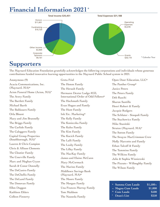# **Financial Information 2021**\*



## **Supporters**

The Maynard Education Foundation gratefully acknowledges the following corporations and individuals whose generous contributions funded innovative learning opportunities in the Maynard Public School system in 2021.

Anonymous (9) Acacia Communications, Inc. (Maynard, MA)**\*** Acton Funeral Home (Acton, MA)**•** The Avery Family The Bartlett Family Michael Barth The Baldasaro Family Orla Blount Mary and Jim Brannelly The Briggs Family The Carlisle Family The Caloggero Family Capital Group Properties (Southborough, MA)**•** Lauren & Chris Campion Chris & Allison Clements The Cloutier Family The Courville Family Marc and Meghan Cryan Sarah & Conor Donnelly The DeCastro Family The DeChellis Family The DeLand Family The Donovan Family Ellen Duggan Kathleen Ehlers Colleen Finnerty

Greta Friel The Hemm Family The Herault Family Hermann Dexter Lodge #133, International Order of Odd Fellows**\*** The Hochmuth Family Evan Hogan and Family The Hunt Family Ink Etc. Marketing**\*** The Kelly Family The Konieczka Family The Kuhn Family The Kim Family The Kucich Family The Lalli Family The Leahy Family The Lilley Family The MacKay Family James and Elaine McCann Mary McCormack The Marino Family Middlesex Savings Bank (Maynard, MA)**\*** The Moore Family The Morgan Family Una Frances Murray Family Tom Muldoon The Nauseda Family

Open Door Education, LLC**\*** The Panther Group**\*** Janice Peters The Peters Family Deb Raschi Sharon Santillo Henri Robert & Family Jacquie Rodgers The Schluter - Sinopoli Family The Stachowicz Family Mike Stanitski Stratus (Maynard, MA)**•** The Sutton Family The Swayze MacCrimmon Crew Molly Marcotte and Family Ethan Talcoff & Family The Tummino Family The Wilkins Family Julie & Sophia Wisniewski The Pizzuto - Willoughby Family The Wilson Family

| * Summa Cum Laude      | $$1,500+$ |
|------------------------|-----------|
| ~ Magna Cum Laude      | \$1,000   |
| <sup>^</sup> Cum Laude | \$500     |
| <b>·</b> Dean's List   | \$250     |
|                        |           |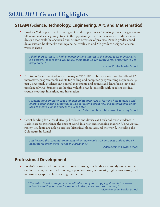### **STEAM (Science, Technology, Engineering, Art, and Mathematics)**

• Fowler's Makerspace teacher used grant funds to purchase a Glowforge Laser Engraver, air filter, and materials, giving students the opportunity to create their own two-dimensional designs that could be engraved and cut into a variety of projects. Fourth graders hand drew custom bookmarks and keychains, while 7th and 8th graders designed custom wooden signs.

*"I think there is just such high engagement and interest in the ability to laser engrave. It is a powerful tool to say if you follow these steps we can create a real project for you to bring home."*

– Laura Potito, Fowler School

• At Green Meadow, students are using a VEX 123 Robotics classroom bundle of 12 interactive, programmable robots for coding and computer programming sequences. By just using touch, students can control movements and sounds and learn basic logic and problem solving. Students are honing valuable hands-on skills with problem-solving, troubleshooting, invention, and innovation.

*"Students are learning to code and manipulate their robots, learning how to debug and improve their existing processes, as well as learning about how this technology is being used to meet all kinds of needs in our society."*

– Lisa DiSalvatore, Green Meadow Elementary School

• Grant funding for Virtual Reality headsets and devices at Fowler allowed students in Latin class to experience the ancient world in a new and engaging manner. Using virtual reality, students are able to explore historical places around the world, including the Colosseum in Rome!

*"Just hearing the students' excitement when they would walk into class and see the VR headsets ready for them (has been a highlight.)"*

– Adam Steiner, Fowler School

#### **Professional Development**

• Fowler's Speech and Language Pathologist used grant funds to attend dyslexia on-line seminars using Structured Literacy, a phonics-based, systematic, highly structured, and multisensory approach to reading instruction.

*"The instructional strategies are beneficial not only for struggling students in a special education setting, but also for students in the general education setting."*

– Mary Finnegan, Fowler School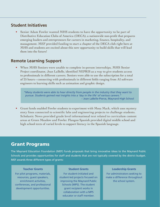#### **Student Initiatives**

Senior Adam Fowler wanted MHS students to have the opportunity to be part of Distributive Education Clubs of America (DECA), a nationwide non-profit that prepares emerging leaders and entrepreneurs for careers in marketing, finance, hospitality, and management. MEF provided funding to start a chapter of the DECA club right here at MHS and students are excited about this new opportunity to build skills that will lead them into the future!

#### **Remote Learning Support**

• When MHS Seniors were unable to complete in-person internships, MHS Senior Project coordinator, Jean LaBelle, identified NEPRIS as a way to give students access to professionals in different careers. Seniors were able to use the subscription for a total of 25 hours—connecting with professionals in different fields ranging from AI software engineers to learning skills such as animation and graphic design.

*"Many students were able to hear directly from people in the industry that they want to pursue. Students gained real insights into a 'day in the life' of various careers."* – Jean LaBelle-Pierce, Maynard High School

• Grant funds enabled Fowler students to experiment with Mosa Mack, which uses mystery story lines connected to scientific labs and engineering projects to challenge students. Scholastic News provided grade level informational text related to curriculum content areas at Green Meadow and Fowler. Flangoo Spanish provided digital middle school and high school texts of varied levels to support literacy in the Spanish language.

#### Grant Programs

The Maynard Education Foundation (MEF) funds proposals that bring innovative ideas to the Maynard Public Schools and provides opportunities for staff and students that are not typically covered by the district budget. MEF awards three different types of grants:

#### **Teacher Grants**

For pilot programs, materials, resources, guest speakers, enrichment activities, conferences, and professional development opportunities.

#### **Student Grants**

For student-initiated and student-led projects focused on improving the Maynard Public Schools (MPS). The student grant recipient works in collaboration with a MPS educator or staff member.

#### **Leadership Grants**

For administrators seeking to make a difference throughout the school system.